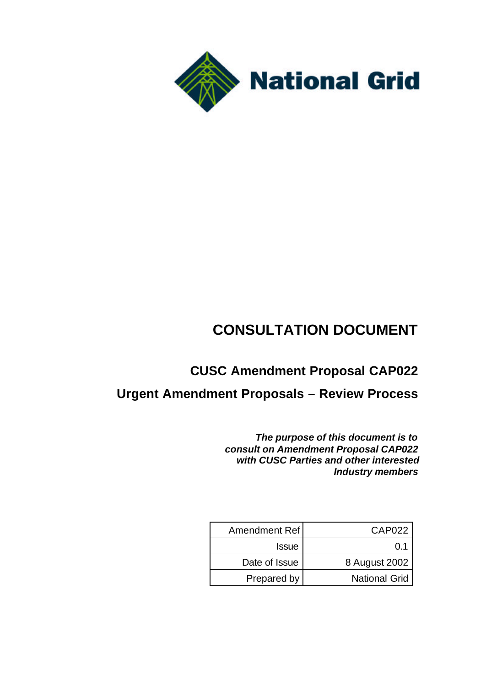

# **CONSULTATION DOCUMENT**

## **CUSC Amendment Proposal CAP022**

## **Urgent Amendment Proposals – Review Process**

*The purpose of this document is to consult on Amendment Proposal CAP022 with CUSC Parties and other interested Industry members*

| Amendment Ref | CAP <sub>022</sub>   |
|---------------|----------------------|
| <b>Issue</b>  | 0.1                  |
| Date of Issue | 8 August 2002        |
| Prepared by   | <b>National Grid</b> |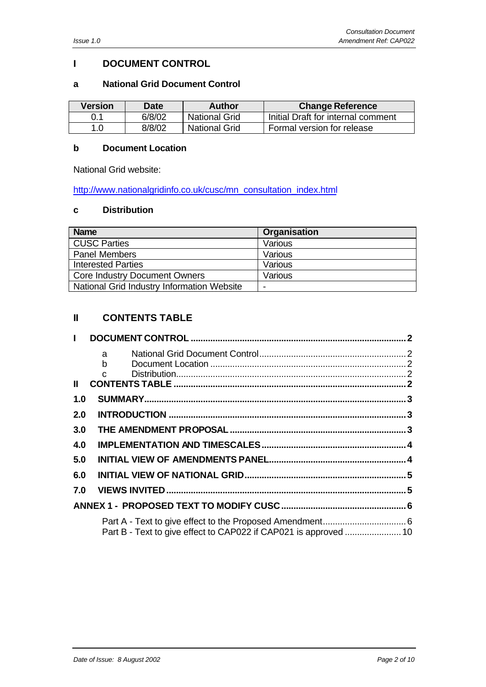#### **I DOCUMENT CONTROL**

#### **a National Grid Document Control**

| Version | <b>Date</b> | <b>Author</b>        | <b>Change Reference</b>            |
|---------|-------------|----------------------|------------------------------------|
| 0.1     | 6/8/02      | National Grid        | Initial Draft for internal comment |
| 1.0     | 8/8/02      | <b>National Grid</b> | Formal version for release         |

#### **b Document Location**

National Grid website:

http://www.nationalgridinfo.co.uk/cusc/mn\_consultation\_index.html

#### **c Distribution**

| <b>Name</b>                                | Organisation |
|--------------------------------------------|--------------|
| <b>CUSC Parties</b>                        | Various      |
| <b>Panel Members</b>                       | Various      |
| <b>Interested Parties</b>                  | Various      |
| <b>Core Industry Document Owners</b>       | Various      |
| National Grid Industry Information Website |              |

## **II CONTENTS TABLE**

| $\mathbf{L}$  |                   |  |
|---------------|-------------------|--|
|               | $a \qquad \qquad$ |  |
|               |                   |  |
| $\mathbf{II}$ |                   |  |
| 1.0           |                   |  |
| 2.0           |                   |  |
| 3.0           |                   |  |
| 4.0           |                   |  |
| 5.0           |                   |  |
| 6.0           |                   |  |
| 7.0           |                   |  |
|               |                   |  |
|               |                   |  |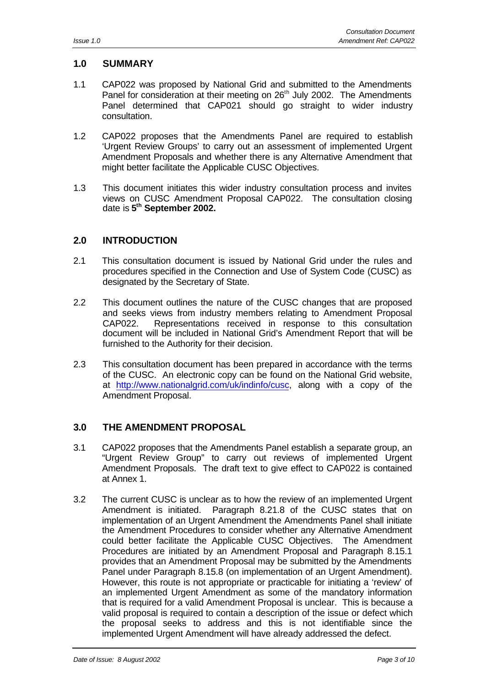#### **1.0 SUMMARY**

- 1.1 CAP022 was proposed by National Grid and submitted to the Amendments Panel for consideration at their meeting on 26<sup>th</sup> July 2002. The Amendments Panel determined that CAP021 should go straight to wider industry consultation.
- 1.2 CAP022 proposes that the Amendments Panel are required to establish 'Urgent Review Groups' to carry out an assessment of implemented Urgent Amendment Proposals and whether there is any Alternative Amendment that might better facilitate the Applicable CUSC Objectives.
- 1.3 This document initiates this wider industry consultation process and invites views on CUSC Amendment Proposal CAP022. The consultation closing date is **5 th September 2002.**

## **2.0 INTRODUCTION**

- 2.1 This consultation document is issued by National Grid under the rules and procedures specified in the Connection and Use of System Code (CUSC) as designated by the Secretary of State.
- 2.2 This document outlines the nature of the CUSC changes that are proposed and seeks views from industry members relating to Amendment Proposal CAP022. Representations received in response to this consultation document will be included in National Grid's Amendment Report that will be furnished to the Authority for their decision.
- 2.3 This consultation document has been prepared in accordance with the terms of the CUSC. An electronic copy can be found on the National Grid website, at http://www.nationalgrid.com/uk/indinfo/cusc, along with a copy of the Amendment Proposal.

## **3.0 THE AMENDMENT PROPOSAL**

- 3.1 CAP022 proposes that the Amendments Panel establish a separate group, an "Urgent Review Group" to carry out reviews of implemented Urgent Amendment Proposals. The draft text to give effect to CAP022 is contained at Annex 1.
- 3.2 The current CUSC is unclear as to how the review of an implemented Urgent Amendment is initiated. Paragraph 8.21.8 of the CUSC states that on implementation of an Urgent Amendment the Amendments Panel shall initiate the Amendment Procedures to consider whether any Alternative Amendment could better facilitate the Applicable CUSC Objectives. The Amendment Procedures are initiated by an Amendment Proposal and Paragraph 8.15.1 provides that an Amendment Proposal may be submitted by the Amendments Panel under Paragraph 8.15.8 (on implementation of an Urgent Amendment). However, this route is not appropriate or practicable for initiating a 'review' of an implemented Urgent Amendment as some of the mandatory information that is required for a valid Amendment Proposal is unclear. This is because a valid proposal is required to contain a description of the issue or defect which the proposal seeks to address and this is not identifiable since the implemented Urgent Amendment will have already addressed the defect.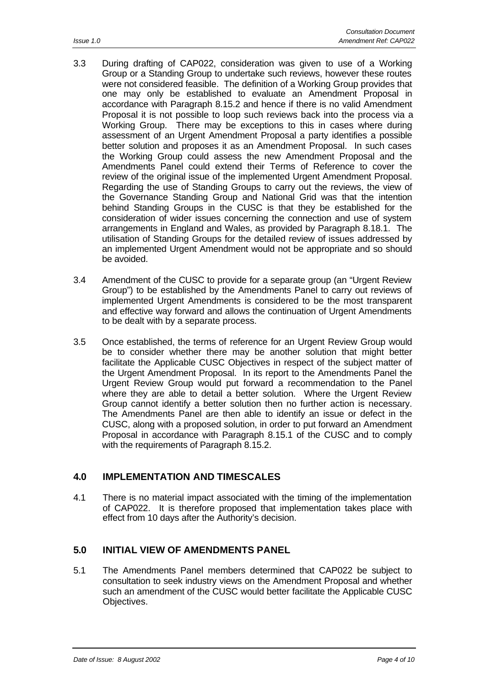- 3.3 During drafting of CAP022, consideration was given to use of a Working Group or a Standing Group to undertake such reviews, however these routes were not considered feasible. The definition of a Working Group provides that one may only be established to evaluate an Amendment Proposal in accordance with Paragraph 8.15.2 and hence if there is no valid Amendment Proposal it is not possible to loop such reviews back into the process via a Working Group. There may be exceptions to this in cases where during assessment of an Urgent Amendment Proposal a party identifies a possible better solution and proposes it as an Amendment Proposal. In such cases the Working Group could assess the new Amendment Proposal and the Amendments Panel could extend their Terms of Reference to cover the review of the original issue of the implemented Urgent Amendment Proposal. Regarding the use of Standing Groups to carry out the reviews, the view of the Governance Standing Group and National Grid was that the intention behind Standing Groups in the CUSC is that they be established for the consideration of wider issues concerning the connection and use of system arrangements in England and Wales, as provided by Paragraph 8.18.1. The utilisation of Standing Groups for the detailed review of issues addressed by an implemented Urgent Amendment would not be appropriate and so should be avoided.
- 3.4 Amendment of the CUSC to provide for a separate group (an "Urgent Review Group") to be established by the Amendments Panel to carry out reviews of implemented Urgent Amendments is considered to be the most transparent and effective way forward and allows the continuation of Urgent Amendments to be dealt with by a separate process.
- 3.5 Once established, the terms of reference for an Urgent Review Group would be to consider whether there may be another solution that might better facilitate the Applicable CUSC Objectives in respect of the subject matter of the Urgent Amendment Proposal. In its report to the Amendments Panel the Urgent Review Group would put forward a recommendation to the Panel where they are able to detail a better solution. Where the Urgent Review Group cannot identify a better solution then no further action is necessary. The Amendments Panel are then able to identify an issue or defect in the CUSC, along with a proposed solution, in order to put forward an Amendment Proposal in accordance with Paragraph 8.15.1 of the CUSC and to comply with the requirements of Paragraph 8.15.2.

## **4.0 IMPLEMENTATION AND TIMESCALES**

4.1 There is no material impact associated with the timing of the implementation of CAP022. It is therefore proposed that implementation takes place with effect from 10 days after the Authority's decision.

## **5.0 INITIAL VIEW OF AMENDMENTS PANEL**

5.1 The Amendments Panel members determined that CAP022 be subject to consultation to seek industry views on the Amendment Proposal and whether such an amendment of the CUSC would better facilitate the Applicable CUSC Objectives.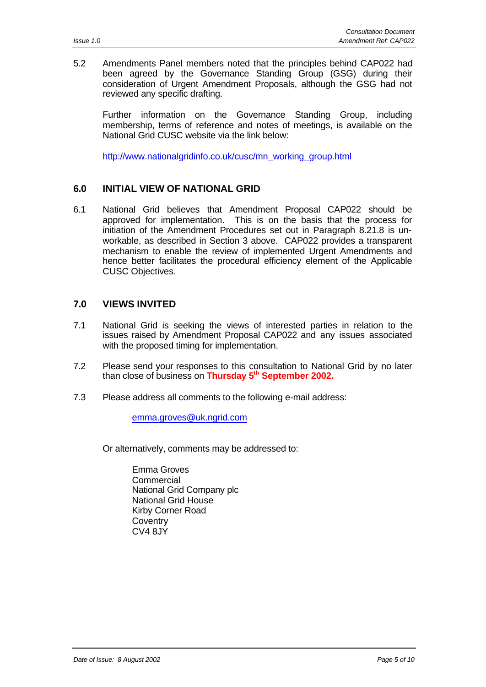5.2 Amendments Panel members noted that the principles behind CAP022 had been agreed by the Governance Standing Group (GSG) during their consideration of Urgent Amendment Proposals, although the GSG had not reviewed any specific drafting.

Further information on the Governance Standing Group, including membership, terms of reference and notes of meetings, is available on the National Grid CUSC website via the link below:

http://www.nationalgridinfo.co.uk/cusc/mn\_working\_group.html

#### **6.0 INITIAL VIEW OF NATIONAL GRID**

6.1 National Grid believes that Amendment Proposal CAP022 should be approved for implementation. This is on the basis that the process for initiation of the Amendment Procedures set out in Paragraph 8.21.8 is unworkable, as described in Section 3 above. CAP022 provides a transparent mechanism to enable the review of implemented Urgent Amendments and hence better facilitates the procedural efficiency element of the Applicable CUSC Objectives.

#### **7.0 VIEWS INVITED**

- 7.1 National Grid is seeking the views of interested parties in relation to the issues raised by Amendment Proposal CAP022 and any issues associated with the proposed timing for implementation.
- 7.2 Please send your responses to this consultation to National Grid by no later than close of business on **Thursday 5th September 2002.**
- 7.3 Please address all comments to the following e-mail address:

emma.groves@uk.ngrid.com

Or alternatively, comments may be addressed to:

Emma Groves **Commercial** National Grid Company plc National Grid House Kirby Corner Road **Coventry**  $CVA$   $8JY$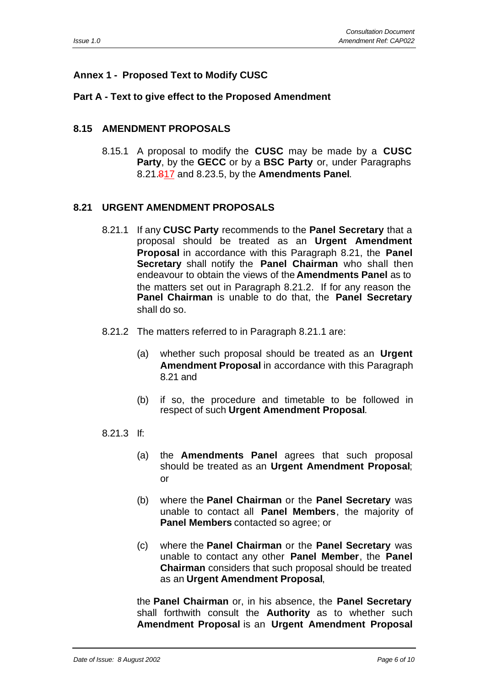## **Annex 1 - Proposed Text to Modify CUSC**

#### **Part A - Text to give effect to the Proposed Amendment**

#### **8.15 AMENDMENT PROPOSALS**

8.15.1 A proposal to modify the **CUSC** may be made by a **CUSC Party**, by the **GECC** or by a **BSC Party** or, under Paragraphs 8.21.817 and 8.23.5, by the **Amendments Panel**.

#### **8.21 URGENT AMENDMENT PROPOSALS**

- 8.21.1 If any **CUSC Party** recommends to the **Panel Secretary** that a proposal should be treated as an **Urgent Amendment Proposal** in accordance with this Paragraph 8.21, the **Panel Secretary** shall notify the **Panel Chairman** who shall then endeavour to obtain the views of the **Amendments Panel** as to the matters set out in Paragraph 8.21.2. If for any reason the **Panel Chairman** is unable to do that, the **Panel Secretary** shall do so.
- 8.21.2 The matters referred to in Paragraph 8.21.1 are:
	- (a) whether such proposal should be treated as an **Urgent Amendment Proposal** in accordance with this Paragraph 8.21 and
	- (b) if so, the procedure and timetable to be followed in respect of such **Urgent Amendment Proposal**.

#### 8.21.3 If:

- (a) the **Amendments Panel** agrees that such proposal should be treated as an **Urgent Amendment Proposal**; or
- (b) where the **Panel Chairman** or the **Panel Secretary** was unable to contact all **Panel Members**, the majority of **Panel Members** contacted so agree; or
- (c) where the **Panel Chairman** or the **Panel Secretary** was unable to contact any other **Panel Member**, the **Panel Chairman** considers that such proposal should be treated as an **Urgent Amendment Proposal**,

the **Panel Chairman** or, in his absence, the **Panel Secretary** shall forthwith consult the **Authority** as to whether such **Amendment Proposal** is an **Urgent Amendment Proposal**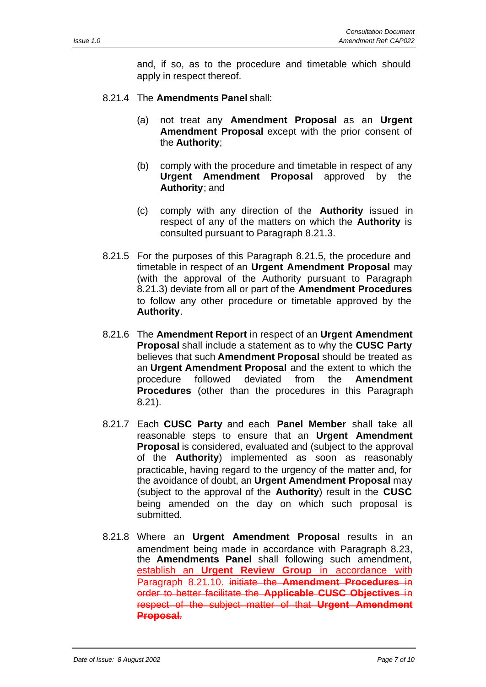and, if so, as to the procedure and timetable which should apply in respect thereof.

- 8.21.4 The **Amendments Panel** shall:
	- (a) not treat any **Amendment Proposal** as an **Urgent Amendment Proposal** except with the prior consent of the **Authority**;
	- (b) comply with the procedure and timetable in respect of any **Urgent Amendment Proposal** approved by the **Authority**; and
	- (c) comply with any direction of the **Authority** issued in respect of any of the matters on which the **Authority** is consulted pursuant to Paragraph 8.21.3.
- 8.21.5 For the purposes of this Paragraph 8.21.5, the procedure and timetable in respect of an **Urgent Amendment Proposal** may (with the approval of the Authority pursuant to Paragraph 8.21.3) deviate from all or part of the **Amendment Procedures** to follow any other procedure or timetable approved by the **Authority**.
- 8.21.6 The **Amendment Report** in respect of an **Urgent Amendment Proposal** shall include a statement as to why the **CUSC Party** believes that such **Amendment Proposal** should be treated as an **Urgent Amendment Proposal** and the extent to which the procedure followed deviated from the **Amendment Procedures** (other than the procedures in this Paragraph 8.21).
- 8.21.7 Each **CUSC Party** and each **Panel Member** shall take all reasonable steps to ensure that an **Urgent Amendment Proposal** is considered, evaluated and (subject to the approval of the **Authority**) implemented as soon as reasonably practicable, having regard to the urgency of the matter and, for the avoidance of doubt, an **Urgent Amendment Proposal** may (subject to the approval of the **Authority**) result in the **CUSC** being amended on the day on which such proposal is submitted.
- 8.21.8 Where an **Urgent Amendment Proposal** results in an amendment being made in accordance with Paragraph 8.23, the **Amendments Panel** shall following such amendment, establish an **Urgent Review Group** in accordance with Paragraph 8.21.10. initiate the **Amendment Procedures** in order to better facilitate the **Applicable CUSC Objectives** in respect of the subject matter of that **Urgent Amendment Proposal**.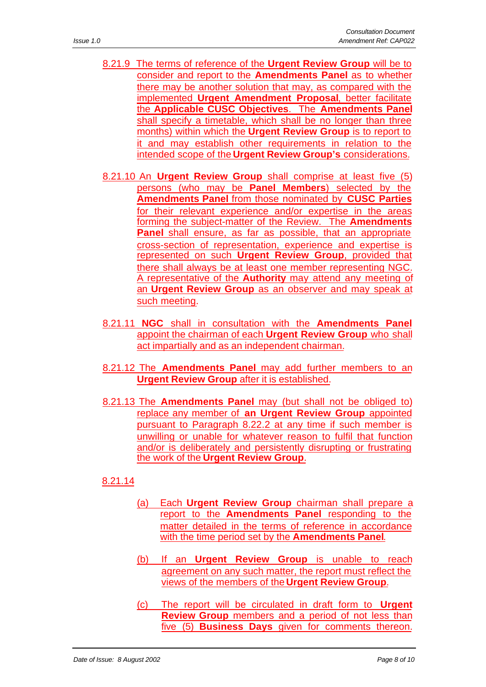- 8.21.9 The terms of reference of the **Urgent Review Group** will be to consider and report to the **Amendments Panel** as to whether there may be another solution that may, as compared with the implemented **Urgent Amendment Proposal**, better facilitate the **Applicable CUSC Objectives**. The **Amendments Panel** shall specify a timetable, which shall be no longer than three months) within which the **Urgent Review Group** is to report to it and may establish other requirements in relation to the intended scope of the **Urgent Review Group's** considerations.
- 8.21.10 An **Urgent Review Group** shall comprise at least five (5) persons (who may be **Panel Members**) selected by the **Amendments Panel** from those nominated by **CUSC Parties** for their relevant experience and/or expertise in the areas forming the subject-matter of the Review. The **Amendments Panel** shall ensure, as far as possible, that an appropriate cross-section of representation, experience and expertise is represented on such **Urgent Review Group**, provided that there shall always be at least one member representing NGC. A representative of the **Authority** may attend any meeting of an **Urgent Review Group** as an observer and may speak at such meeting.
- 8.21.11 **NGC** shall in consultation with the **Amendments Panel** appoint the chairman of each **Urgent Review Group** who shall act impartially and as an independent chairman.
- 8.21.12 The **Amendments Panel** may add further members to an **Urgent Review Group** after it is established.
- 8.21.13 The **Amendments Panel** may (but shall not be obliged to) replace any member of **an Urgent Review Group** appointed pursuant to Paragraph 8.22.2 at any time if such member is unwilling or unable for whatever reason to fulfil that function and/or is deliberately and persistently disrupting or frustrating the work of the **Urgent Review Group**.

## 8.21.14

- (a) Each **Urgent Review Group** chairman shall prepare a report to the **Amendments Panel** responding to the matter detailed in the terms of reference in accordance with the time period set by the **Amendments Panel**.
- (b) If an **Urgent Review Group** is unable to reach agreement on any such matter, the report must reflect the views of the members of the **Urgent Review Group**.
- (c) The report will be circulated in draft form to **Urgent Review Group** members and a period of not less than five (5) **Business Days** given for comments thereon.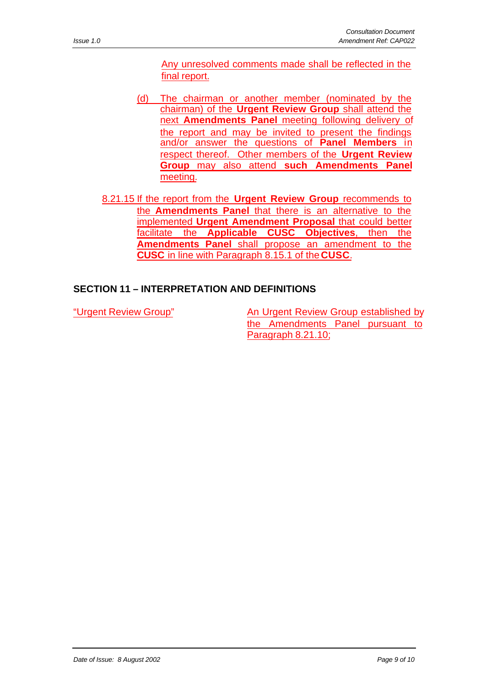Any unresolved comments made shall be reflected in the final report.

- (d) The chairman or another member (nominated by the chairman) of the **Urgent Review Group** shall attend the next **Amendments Panel** meeting following delivery of the report and may be invited to present the findings and/or answer the questions of **Panel Members** in respect thereof. Other members of the **Urgent Review Group** may also attend **such Amendments Panel** meeting.
- 8.21.15 If the report from the **Urgent Review Group** recommends to the **Amendments Panel** that there is an alternative to the implemented **Urgent Amendment Proposal** that could better facilitate the **Applicable CUSC Objectives**, then the **Amendments Panel** shall propose an amendment to the **CUSC** in line with Paragraph 8.15.1 of the **CUSC**.

## **SECTION 11 – INTERPRETATION AND DEFINITIONS**

"Urgent Review Group" An Urgent Review Group established by the Amendments Panel pursuant to Paragraph 8.21.10;